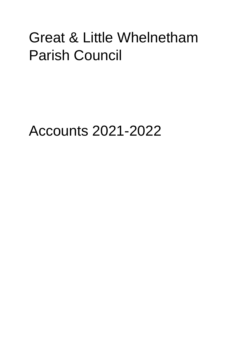# Great & Little Whelnetham Parish Council

Accounts 2021-2022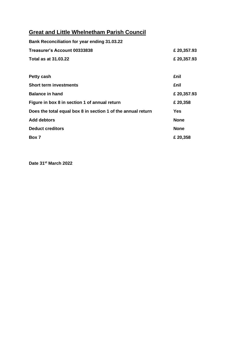## **Great and Little Whelnetham Parish Council**

| <b>Bank Reconciliation for year ending 31.03.22</b>          |             |
|--------------------------------------------------------------|-------------|
| Treasurer's Account 00333838                                 | £ 20,357.93 |
| <b>Total as at 31.03.22</b>                                  | £ 20,357.93 |
|                                                              |             |
| Petty cash                                                   | £nil        |
| <b>Short term investments</b>                                | £nil        |
| <b>Balance in hand</b>                                       | £ 20,357.93 |
| Figure in box 8 in section 1 of annual return                | £ 20,358    |
| Does the total equal box 8 in section 1 of the annual return | <b>Yes</b>  |
| <b>Add debtors</b>                                           | <b>None</b> |
| <b>Deduct creditors</b>                                      | <b>None</b> |
| Box 7                                                        | £ 20,358    |

**Date 31st March 2022**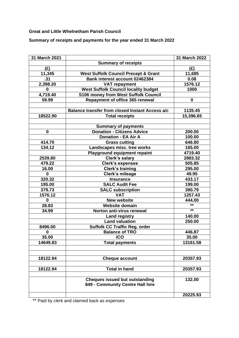#### **Great and Little Whelnetham Parish Council**

**Summary of receipts and payments for the year ended 31 March 2022**

| 31 March 2021                         |                                                        | 31 March 2022 |
|---------------------------------------|--------------------------------------------------------|---------------|
|                                       | <b>Summary of receipts</b>                             |               |
| (E)                                   |                                                        | (E)           |
| 11,345                                | <b>West Suffolk Council Precept &amp; Grant</b>        | 11,685        |
| .31                                   | Bank interest account 02462384                         | 0.08          |
| 2,398.20                              | <b>VAT repayment</b>                                   | 1576.12       |
| $\bf{0}$                              | <b>West Suffolk Council locality budget</b>            | 1000          |
| 4,719.40                              | <b>S106 money from West Suffolk Council</b>            |               |
| 59.99                                 | Repayment of office 365 renewal                        | 0             |
|                                       |                                                        |               |
|                                       | <b>Balance transfer from closed Instant Access a/c</b> | 1135.45       |
| 18522.90                              | <b>Total receipts</b>                                  | 15,396.65     |
|                                       |                                                        |               |
|                                       | <b>Summary of payments</b>                             |               |
| $\bf{0}$                              | <b>Donation - Citizens Advice</b>                      | 200.00        |
|                                       | <b>Donation - EA Air A</b>                             | 100.00        |
| 414.70                                | <b>Grass cutting</b>                                   | 646.80        |
| 134.12                                | Landscapes misc. tree works                            | 165.00        |
|                                       | <b>Playground equipment repaint</b>                    | 4719.40       |
| 2539.80                               | <b>Clerk's salary</b>                                  | 2883.32       |
| 479.22                                | <b>Clerk's expenses</b>                                | 505.85        |
| 16.00                                 | <b>Clerk's training</b>                                | 295.00        |
| $\mathbf 0$                           | Clerk's mileage                                        | 49.95         |
| 320.32                                | <b>Insurance</b>                                       | 433.17        |
| 195.00                                | <b>SALC Audit Fee</b>                                  | 199.00        |
| 379.73                                | <b>SALC subscription</b>                               | 390.79        |
| 1576.12                               | <b>VAT</b>                                             | 1257.43       |
| $\mathbf 0$                           | <b>New website</b>                                     | 444.00        |
| 28.83                                 | <b>Website domain</b>                                  | $***$         |
| 34.99                                 | Norton anti-virus renewal                              | $***$         |
|                                       | <b>Land registry</b>                                   | 140.00        |
|                                       | <b>Land valuation</b>                                  | 250.00        |
| 8496.00                               | <b>Suffolk CC Traffic Reg. order</b>                   |               |
| 0                                     | <b>Balance of TRO</b>                                  | 446.87        |
| 35.00                                 | <b>ICO</b>                                             | 35.00         |
| 14649.83                              | <b>Total payments</b>                                  | 13161.58      |
|                                       |                                                        |               |
|                                       |                                                        |               |
| 18122.94                              | <b>Cheque account</b>                                  | 20357.93      |
|                                       |                                                        |               |
| 18122.94                              | <b>Total in hand</b>                                   | 20357.93      |
|                                       |                                                        |               |
| <b>Cheques issued but outstanding</b> |                                                        | 132.00        |
|                                       | 849 - Community Centre Hall hire                       |               |
|                                       |                                                        | 20225.93      |
|                                       |                                                        |               |

\*\* Paid by clerk and claimed back as expenses